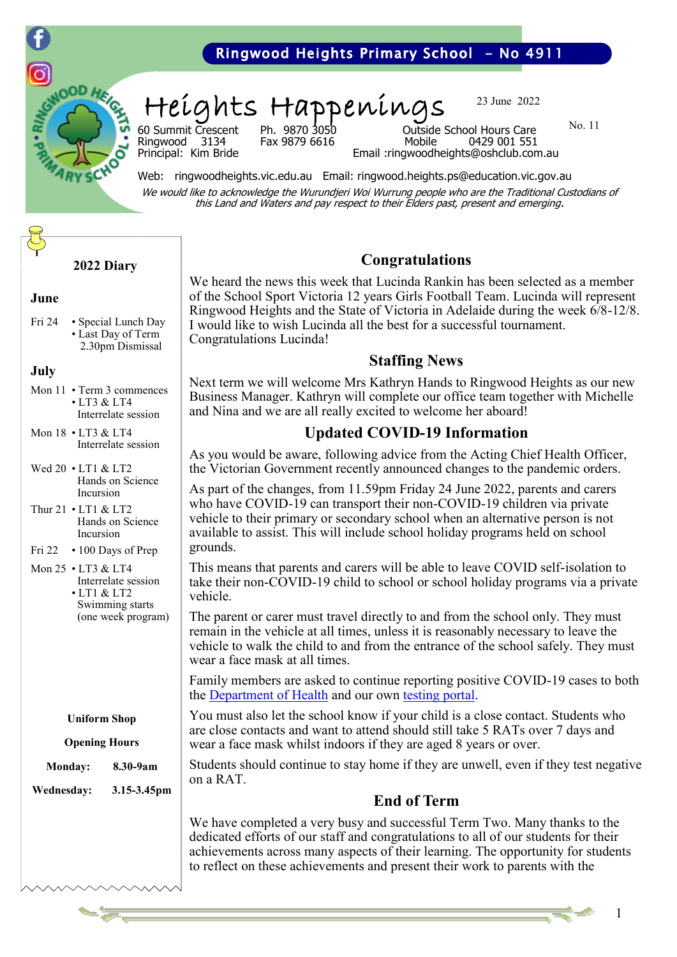

## Ringwood Heights Primary School - No 4911

Heights Happenings

23 June 2022

No. 11

60 Summit Crescent Ph. 9870 3050 Outside School Hours Care Fax 9879 6616

Principal: Kim Bride Email :ringwoodheights@oshclub.com.au

Web: ringwoodheights.vic.edu.au Email: ringwood.heights.ps@education.vic.gov.au We would like to acknowledge the Wurundjeri Woi Wurrung people who are the Traditional Custodians of this Land and Waters and pay respect to their Elders past, present and emerging.

#### **2022 Diary**

#### **June**

Fri 24 • Special Lunch Day • Last Day of Term 2.30pm Dismissal

#### **July**

- Mon 11 Term 3 commences • LT3 & LT4 Interrelate session
- Mon 18 LT3 & LT4 Interrelate session
- Wed 20 LT1 & LT2 Hands on Science Incursion
- Thur 21 LT1 & LT2 Hands on Science Incursion
- Fri 22 100 Days of Prep
- Mon 25 LT3 & LT4 Interrelate session • LT1 & LT2 Swimming starts (one week program)

**Uniform Shop**

#### **Opening Hours**

**Monday: 8.30-9am Wednesday: 3.15-3.45pm**

## **Congratulations**

We heard the news this week that Lucinda Rankin has been selected as a member of the School Sport Victoria 12 years Girls Football Team. Lucinda will represent Ringwood Heights and the State of Victoria in Adelaide during the week 6/8-12/8. I would like to wish Lucinda all the best for a successful tournament. Congratulations Lucinda!

#### **Staffing News**

Next term we will welcome Mrs Kathryn Hands to Ringwood Heights as our new Business Manager. Kathryn will complete our office team together with Michelle and Nina and we are all really excited to welcome her aboard!

### **Updated COVID-19 Information**

As you would be aware, following advice from the Acting Chief Health Officer, the Victorian Government recently announced changes to the pandemic orders.

As part of the changes, from 11.59pm Friday 24 June 2022, parents and carers who have COVID-19 can transport their non-COVID-19 children via private vehicle to their primary or secondary school when an alternative person is not available to assist. This will include school holiday programs held on school grounds.

This means that parents and carers will be able to leave COVID self-isolation to take their non-COVID-19 child to school or school holiday programs via a private vehicle.

The parent or carer must travel directly to and from the school only. They must remain in the vehicle at all times, unless it is reasonably necessary to leave the vehicle to walk the child to and from the entrance of the school safely. They must wear a face mask at all times.

Family members are asked to continue reporting positive COVID-19 cases to both the [Department of Health](https://dhvicgovau.powerappsportals.com/rapid-antigen-test/) and our own [testing portal.](https://covidtest.educationapps.vic.gov.au/s/login/) 

You must also let the school know if your child is a close contact. Students who are close contacts and want to attend should still take 5 RATs over 7 days and wear a face mask whilst indoors if they are aged 8 years or over.

Students should continue to stay home if they are unwell, even if they test negative on a RAT.

## **End of Term**

We have completed a very busy and successful Term Two. Many thanks to the dedicated efforts of our staff and congratulations to all of our students for their achievements across many aspects of their learning. The opportunity for students to reflect on these achievements and present their work to parents with the